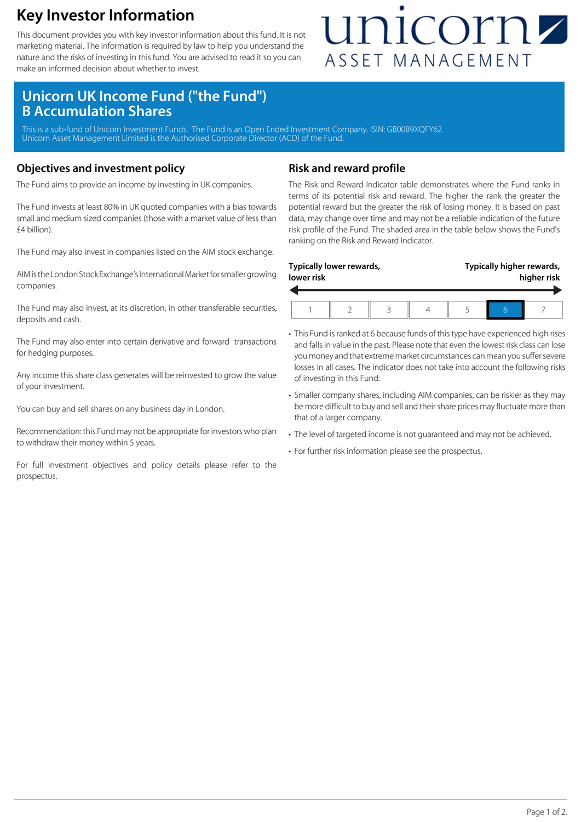### **Key Investor Information**

This document provides you with key investor information about this fund. It is not marketing material. The information is required by law to help you understand the nature and the risks of investing in this fund. You are advised to read it so you can make an informed decision about whether to invest.

## unicornz ASSET MANAGEMENT

### **Unicorn UK Income Fund ("the Fund") B Accumulation Shares**

This is a sub-fund of Unicorn Investment Funds. The Fund is an Open Ended Investment Company. ISIN: GB00B9XQFY62 Unicorn Asset Management Limited is the Authorised Corporate Director (ACD) of the Fund.

#### **Objectives and investment policy**

The Fund aims to provide an income by investing in UK companies.

The Fund invests at least 80% in UK quoted companies with a bias towards small and medium sized companies (those with a market value of less than £4 billion).

The Fund may also invest in companies listed on the AIM stock exchange.

AIM is the London Stock Exchange's International Market for smaller growing companies.

The Fund may also invest, at its discretion, in other transferable securities, deposits and cash.

The Fund may also enter into certain derivative and forward transactions for hedging purposes.

Any income this share class generates will be reinvested to grow the value of your investment.

You can buy and sell shares on any business day in London.

Recommendation: this Fund may not be appropriate for investors who plan to withdraw their money within 5 years.

For full investment objectives and policy details please refer to the prospectus.

#### **Risk and reward profile**

The Risk and Reward Indicator table demonstrates where the Fund ranks in terms of its potential risk and reward. The higher the rank the greater the potential reward but the greater the risk of losing money. It is based on past data, may change over time and may not be a reliable indication of the future risk profile of the Fund. The shaded area in the table below shows the Fund's ranking on the Risk and Reward Indicator.

| Typically higher rewards,<br>Typically lower rewards,<br>lower risk |  |  |  |  |  |  | higher risk |
|---------------------------------------------------------------------|--|--|--|--|--|--|-------------|
|                                                                     |  |  |  |  |  |  |             |

- This Fund is ranked at 6 because funds of this type have experienced high rises and falls in value in the past. Please note that even the lowest risk class can lose you money and that extreme market circumstances can mean you suffer severe losses in all cases. The indicator does not take into account the following risks of investing in this Fund:
- Smaller company shares, including AIM companies, can be riskier as they may be more difficult to buy and sell and their share prices may fluctuate more than that of a larger company.
- The level of targeted income is not guaranteed and may not be achieved.
- For further risk information please see the prospectus.